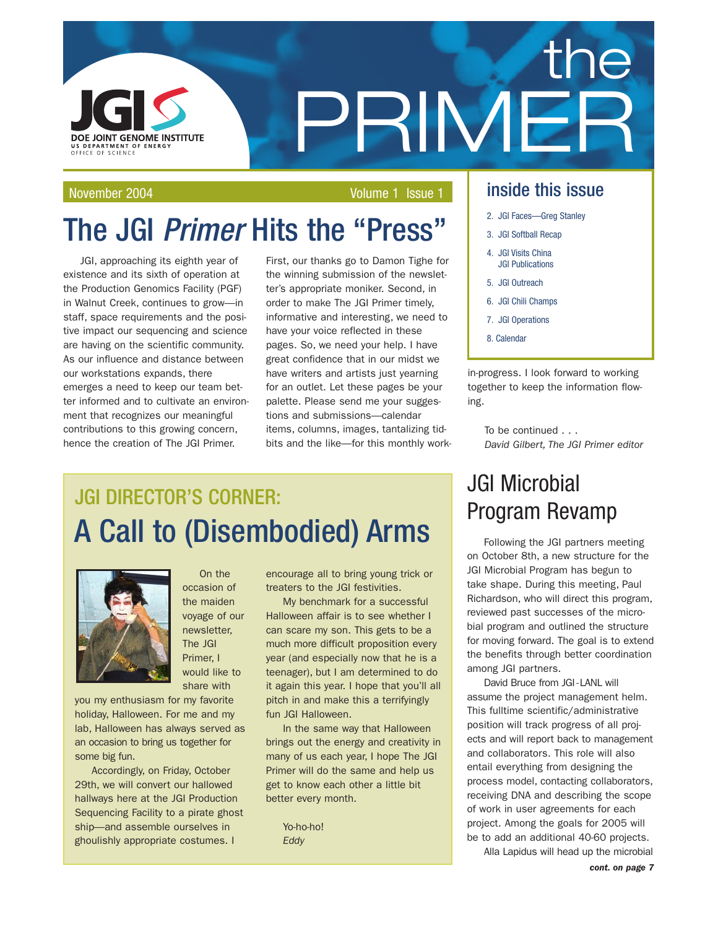

#### November 2004 Volume 1 Issue 1

# The JGI Primer Hits the "Press"

JGI, approaching its eighth year of existence and its sixth of operation at the Production Genomics Facility (PGF) in Walnut Creek, continues to grow—in staff, space requirements and the positive impact our sequencing and science are having on the scientific community. As our influence and distance between our workstations expands, there emerges a need to keep our team better informed and to cultivate an environment that recognizes our meaningful contributions to this growing concern, hence the creation of The JGI Primer.

First, our thanks go to Damon Tighe for the winning submission of the newsletter's appropriate moniker. Second, in order to make The JGI Primer timely, informative and interesting, we need to have your voice reflected in these pages. So, we need your help. I have great confidence that in our midst we have writers and artists just yearning for an outlet. Let these pages be your palette. Please send me your suggestions and submissions—calendar items, columns, images, tantalizing tidbits and the like—for this monthly work-

#### inside this issue

- 2. JGI Faces—Greg Stanley
- 3. JGI Softball Recap
- 4. JGI Visits China JGI Publications
- 5. JGI Outreach
- 6. JGI Chili Champs
- 7. JGI Operations
- 8. Calendar

in-progress. I look forward to working together to keep the information flowing.

To be continued . . . *David Gilbert, The JGI Primer editor*

## JGI DIRECTOR'S CORNER: A Call to (Disembodied) Arms



On the occasion of the maiden voyage of our newsletter, The JGI Primer, I would like to share with

you my enthusiasm for my favorite holiday, Halloween. For me and my lab, Halloween has always served as an occasion to bring us together for some big fun.

Accordingly, on Friday, October 29th, we will convert our hallowed hallways here at the JGI Production Sequencing Facility to a pirate ghost ship—and assemble ourselves in ghoulishly appropriate costumes. I

encourage all to bring young trick or treaters to the JGI festivities.

My benchmark for a successful Halloween affair is to see whether I can scare my son. This gets to be a much more difficult proposition every year (and especially now that he is a teenager), but I am determined to do it again this year. I hope that you'll all pitch in and make this a terrifyingly fun JGI Halloween.

In the same way that Halloween brings out the energy and creativity in many of us each year, I hope The JGI Primer will do the same and help us get to know each other a little bit better every month.

Yo-ho-ho! *Eddy*

### JGI Microbial Program Revamp

Following the JGI partners meeting on October 8th, a new structure for the JGI Microbial Program has begun to take shape. During this meeting, Paul Richardson, who will direct this program, reviewed past successes of the microbial program and outlined the structure for moving forward. The goal is to extend the benefits through better coordination among JGI partners.

David Bruce from JGI -LANL will assume the project management helm. This fulltime scientific/administrative position will track progress of all projects and will report back to management and collaborators. This role will also entail everything from designing the process model, contacting collaborators, receiving DNA and describing the scope of work in user agreements for each project. Among the goals for 2005 will be to add an additional 40-60 projects.

Alla Lapidus will head up the microbial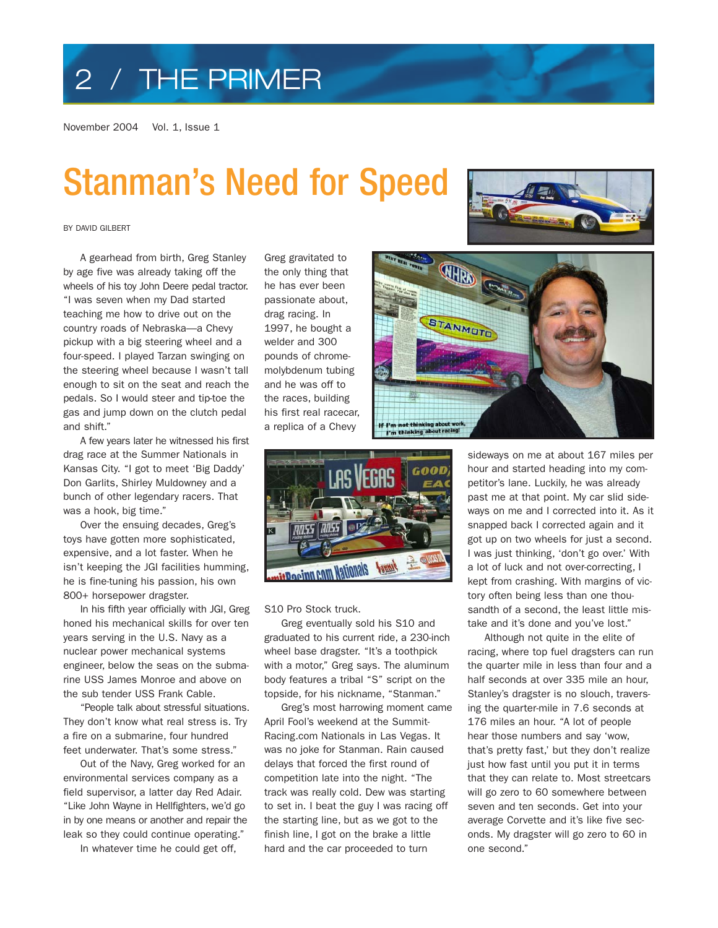November 2004 Vol. 1, Issue 1

# Stanman's Need for Speed

BY DAVID GILBERT

A gearhead from birth, Greg Stanley by age five was already taking off the wheels of his toy John Deere pedal tractor. "I was seven when my Dad started teaching me how to drive out on the country roads of Nebraska—a Chevy pickup with a big steering wheel and a four-speed. I played Tarzan swinging on the steering wheel because I wasn't tall enough to sit on the seat and reach the pedals. So I would steer and tip-toe the gas and jump down on the clutch pedal and shift."

A few years later he witnessed his first drag race at the Summer Nationals in Kansas City. "I got to meet 'Big Daddy' Don Garlits, Shirley Muldowney and a bunch of other legendary racers. That was a hook, big time."

Over the ensuing decades, Greg's toys have gotten more sophisticated, expensive, and a lot faster. When he isn't keeping the JGI facilities humming, he is fine-tuning his passion, his own 800+ horsepower dragster.

In his fifth year officially with JGI, Greg honed his mechanical skills for over ten years serving in the U.S. Navy as a nuclear power mechanical systems engineer, below the seas on the submarine USS James Monroe and above on the sub tender USS Frank Cable.

"People talk about stressful situations. They don't know what real stress is. Try a fire on a submarine, four hundred feet underwater. That's some stress."

Out of the Navy, Greg worked for an environmental services company as a field supervisor, a latter day Red Adair. "Like John Wayne in Hellfighters, we'd go in by one means or another and repair the leak so they could continue operating."

In whatever time he could get off,

Greg gravitated to the only thing that he has ever been passionate about, drag racing. In 1997, he bought a welder and 300 pounds of chromemolybdenum tubing and he was off to the races, building his first real racecar, a replica of a Chevy







S10 Pro Stock truck.

Greg eventually sold his S10 and graduated to his current ride, a 230-inch wheel base dragster. "It's a toothpick with a motor," Greg says. The aluminum body features a tribal "S" script on the topside, for his nickname, "Stanman."

Greg's most harrowing moment came April Fool's weekend at the Summit-Racing.com Nationals in Las Vegas. It was no joke for Stanman. Rain caused delays that forced the first round of competition late into the night. "The track was really cold. Dew was starting to set in. I beat the guy I was racing off the starting line, but as we got to the finish line, I got on the brake a little hard and the car proceeded to turn

sideways on me at about 167 miles per hour and started heading into my competitor's lane. Luckily, he was already past me at that point. My car slid sideways on me and I corrected into it. As it snapped back I corrected again and it got up on two wheels for just a second. I was just thinking, 'don't go over.' With a lot of luck and not over-correcting, I kept from crashing. With margins of victory often being less than one thousandth of a second, the least little mistake and it's done and you've lost."

Although not quite in the elite of racing, where top fuel dragsters can run the quarter mile in less than four and a half seconds at over 335 mile an hour, Stanley's dragster is no slouch, traversing the quarter-mile in 7.6 seconds at 176 miles an hour. "A lot of people hear those numbers and say 'wow, that's pretty fast,' but they don't realize just how fast until you put it in terms that they can relate to. Most streetcars will go zero to 60 somewhere between seven and ten seconds. Get into your average Corvette and it's like five seconds. My dragster will go zero to 60 in one second."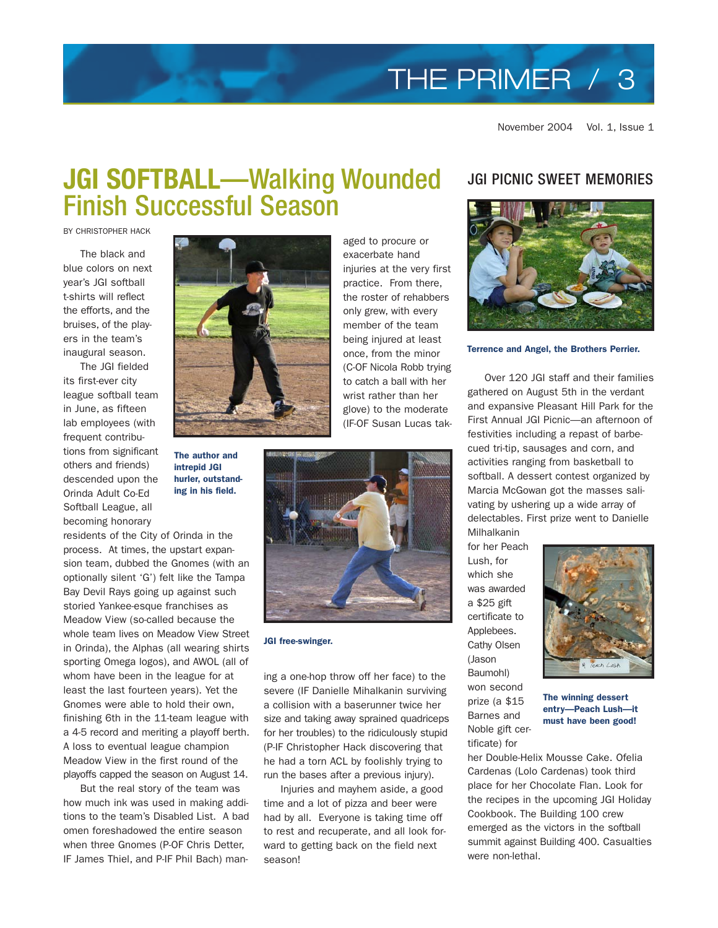

### **JGI SOFTBALL**—Walking Wounded Finish Successful Season

BY CHRISTOPHER HACK

The black and blue colors on next year's JGI softball t-shirts will reflect the efforts, and the bruises, of the players in the team's inaugural season.

The JGI fielded its first-ever city league softball team in June, as fifteen lab employees (with frequent contributions from significant others and friends) descended upon the Orinda Adult Co-Ed Softball League, all becoming honorary

residents of the City of Orinda in the process. At times, the upstart expansion team, dubbed the Gnomes (with an optionally silent 'G') felt like the Tampa Bay Devil Rays going up against such storied Yankee-esque franchises as Meadow View (so-called because the whole team lives on Meadow View Street in Orinda), the Alphas (all wearing shirts sporting Omega logos), and AWOL (all of whom have been in the league for at least the last fourteen years). Yet the Gnomes were able to hold their own, finishing 6th in the 11-team league with a 4-5 record and meriting a playoff berth. A loss to eventual league champion Meadow View in the first round of the playoffs capped the season on August 14.

But the real story of the team was how much ink was used in making additions to the team's Disabled List. A bad omen foreshadowed the entire season when three Gnomes (P-OF Chris Detter, IF James Thiel, and P-IF Phil Bach) man-



**The author and intrepid JGI hurler, outstanding in his field.**



**JGI free-swinger.**

ing a one-hop throw off her face) to the severe (IF Danielle Mihalkanin surviving a collision with a baserunner twice her size and taking away sprained quadriceps for her troubles) to the ridiculously stupid (P-IF Christopher Hack discovering that he had a torn ACL by foolishly trying to run the bases after a previous injury).

Injuries and mayhem aside, a good time and a lot of pizza and beer were had by all. Everyone is taking time off to rest and recuperate, and all look forward to getting back on the field next season!

#### JGI PICNIC SWEET MEMORIES



**Terrence and Angel, the Brothers Perrier.**

Over 120 JGI staff and their families gathered on August 5th in the verdant and expansive Pleasant Hill Park for the First Annual JGI Picnic—an afternoon of festivities including a repast of barbecued tri-tip, sausages and corn, and activities ranging from basketball to softball. A dessert contest organized by Marcia McGowan got the masses salivating by ushering up a wide array of delectables. First prize went to Danielle Milhalkanin

for her Peach Lush, for which she was awarded a \$25 gift certificate to Applebees. Cathy Olsen (Jason Baumohl) won second prize (a \$15 Barnes and Noble gift certificate) for



**The winning dessert entry—Peach Lush—it must have been good!**

her Double-Helix Mousse Cake. Ofelia Cardenas (Lolo Cardenas) took third place for her Chocolate Flan. Look for the recipes in the upcoming JGI Holiday Cookbook. The Building 100 crew emerged as the victors in the softball summit against Building 400. Casualties were non-lethal.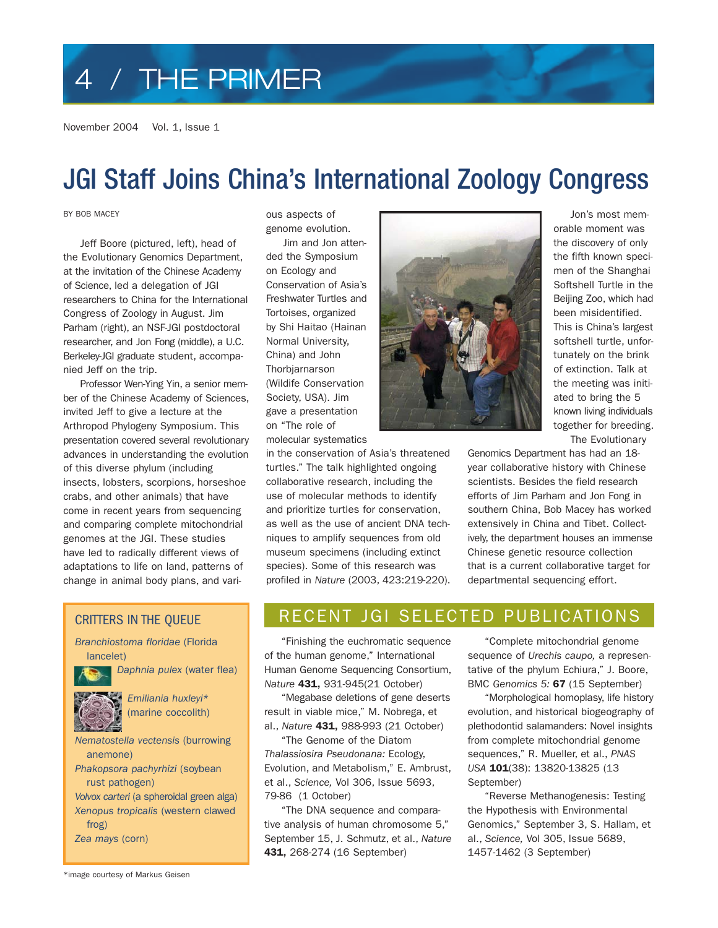November 2004 Vol. 1, Issue 1

### JGI Staff Joins China's International Zoology Congress

BY BOB MACEY

Jeff Boore (pictured, left), head of the Evolutionary Genomics Department, at the invitation of the Chinese Academy of Science, led a delegation of JGI researchers to China for the International Congress of Zoology in August. Jim Parham (right), an NSF-JGI postdoctoral researcher, and Jon Fong (middle), a U.C. Berkeley-JGI graduate student, accompanied Jeff on the trip.

Professor Wen-Ying Yin, a senior member of the Chinese Academy of Sciences, invited Jeff to give a lecture at the Arthropod Phylogeny Symposium. This presentation covered several revolutionary advances in understanding the evolution of this diverse phylum (including insects, lobsters, scorpions, horseshoe crabs, and other animals) that have come in recent years from sequencing and comparing complete mitochondrial genomes at the JGI. These studies have led to radically different views of adaptations to life on land, patterns of change in animal body plans, and various aspects of genome evolution.

Jim and Jon attended the Symposium on Ecology and Conservation of Asia's Freshwater Turtles and Tortoises, organized by Shi Haitao (Hainan Normal University, China) and John Thorbjarnarson (Wildife Conservation Society, USA). Jim gave a presentation on "The role of molecular systematics

in the conservation of Asia's threatened turtles." The talk highlighted ongoing collaborative research, including the use of molecular methods to identify and prioritize turtles for conservation, as well as the use of ancient DNA techniques to amplify sequences from old museum specimens (including extinct species). Some of this research was profiled in *Nature* (2003, 423:219-220).



Jon's most memorable moment was the discovery of only the fifth known specimen of the Shanghai Softshell Turtle in the Beijing Zoo, which had been misidentified. This is China's largest softshell turtle, unfortunately on the brink of extinction. Talk at the meeting was initiated to bring the 5 known living individuals together for breeding. The Evolutionary

Genomics Department has had an 18 year collaborative history with Chinese scientists. Besides the field research efforts of Jim Parham and Jon Fong in southern China, Bob Macey has worked extensively in China and Tibet. Collectively, the department houses an immense Chinese genetic resource collection that is a current collaborative target for departmental sequencing effort.

#### CRITTERS IN THE QUEUE

*Branchiostoma floridae* (Florida lancelet)



*Daphnia pulex* (water flea)



*Emiliania huxleyi\** (marine coccolith)

*Nematostella vectensis* (burrowing anemone)

*Phakopsora pachyrhizi* (soybean rust pathogen)

*Volvox carteri* (a spheroidal green alga) *Xenopus tropicalis* (western clawed frog)

*Zea mays* (corn)

#### RECENT JGI SELECTED PUBLICATIONS

"Finishing the euchromatic sequence of the human genome," International Human Genome Sequencing Consortium, *Nature* **431,** 931-945(21 October)

"Megabase deletions of gene deserts result in viable mice," M. Nobrega, et al., *Nature* **431,** 988-993 (21 October)

"The Genome of the Diatom *Thalassiosira Pseudonana:* Ecology, Evolution, and Metabolism," E. Ambrust, et al., *Science,* Vol 306, Issue 5693, 79-86 (1 October)

"The DNA sequence and comparative analysis of human chromosome 5," September 15, J. Schmutz, et al., *Nature* **431,** 268-274 (16 September)

"Complete mitochondrial genome sequence of *Urechis caupo,* a representative of the phylum Echiura," J. Boore, BMC *Genomics 5:* **67** (15 September)

"Morphological homoplasy, life history evolution, and historical biogeography of plethodontid salamanders: Novel insights from complete mitochondrial genome sequences," R. Mueller, et al., *PNAS USA* **101**(38): 13820-13825 (13 September)

"Reverse Methanogenesis: Testing the Hypothesis with Environmental Genomics," September 3, S. Hallam, et al., *Science,* Vol 305, Issue 5689, 1457-1462 (3 September)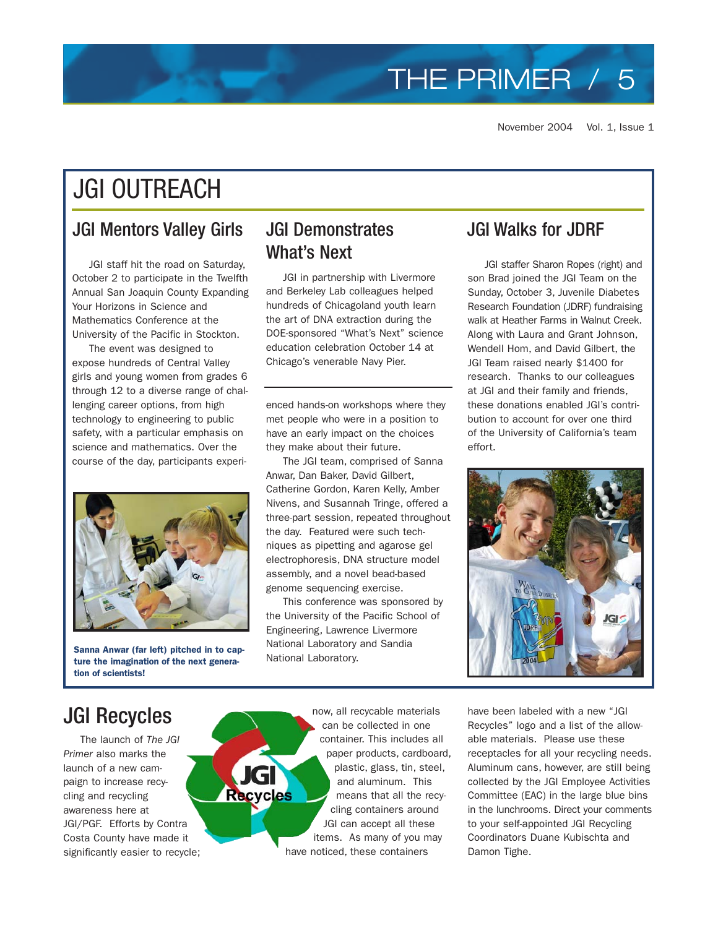THE PRIMER / 5

### JGI OUTREACH

### JGI Mentors Valley Girls JGI Demonstrates JGI Walks for JDRF

JGI staff hit the road on Saturday, October 2 to participate in the Twelfth Annual San Joaquin County Expanding Your Horizons in Science and Mathematics Conference at the University of the Pacific in Stockton.

The event was designed to expose hundreds of Central Valley girls and young women from grades 6 through 12 to a diverse range of challenging career options, from high technology to engineering to public safety, with a particular emphasis on science and mathematics. Over the course of the day, participants experi-



**Sanna Anwar (far left) pitched in to capture the imagination of the next generation of scientists!**

JGI Recycles

# What's Next

JGI in partnership with Livermore and Berkeley Lab colleagues helped hundreds of Chicagoland youth learn the art of DNA extraction during the DOE-sponsored "What's Next" science education celebration October 14 at Chicago's venerable Navy Pier.

enced hands-on workshops where they met people who were in a position to have an early impact on the choices they make about their future.

The JGI team, comprised of Sanna Anwar, Dan Baker, David Gilbert, Catherine Gordon, Karen Kelly, Amber Nivens, and Susannah Tringe, offered a three-part session, repeated throughout the day. Featured were such techniques as pipetting and agarose gel electrophoresis, DNA structure model assembly, and a novel bead-based genome sequencing exercise.

This conference was sponsored by the University of the Pacific School of Engineering, Lawrence Livermore National Laboratory and Sandia National Laboratory.

JGI staffer Sharon Ropes (right) and son Brad joined the JGI Team on the Sunday, October 3, Juvenile Diabetes Research Foundation (JDRF) fundraising walk at Heather Farms in Walnut Creek. Along with Laura and Grant Johnson, Wendell Hom, and David Gilbert, the JGI Team raised nearly \$1400 for research. Thanks to our colleagues at JGI and their family and friends, these donations enabled JGI's contribution to account for over one third of the University of California's team effort.



### JGI Recycles

The launch of *The JGI Primer* also marks the launch of a new campaign to increase recycling and recycling awareness here at JGI/PGF. Efforts by Contra Costa County have made it significantly easier to recycle;

now, all recycable materials can be collected in one container. This includes all paper products, cardboard, plastic, glass, tin, steel, and aluminum. This means that all the recycling containers around JGI can accept all these items. As many of you may have noticed, these containers

have been labeled with a new "JGI Recycles" logo and a list of the allowable materials. Please use these receptacles for all your recycling needs. Aluminum cans, however, are still being collected by the JGI Employee Activities Committee (EAC) in the large blue bins in the lunchrooms. Direct your comments to your self-appointed JGI Recycling Coordinators Duane Kubischta and Damon Tighe.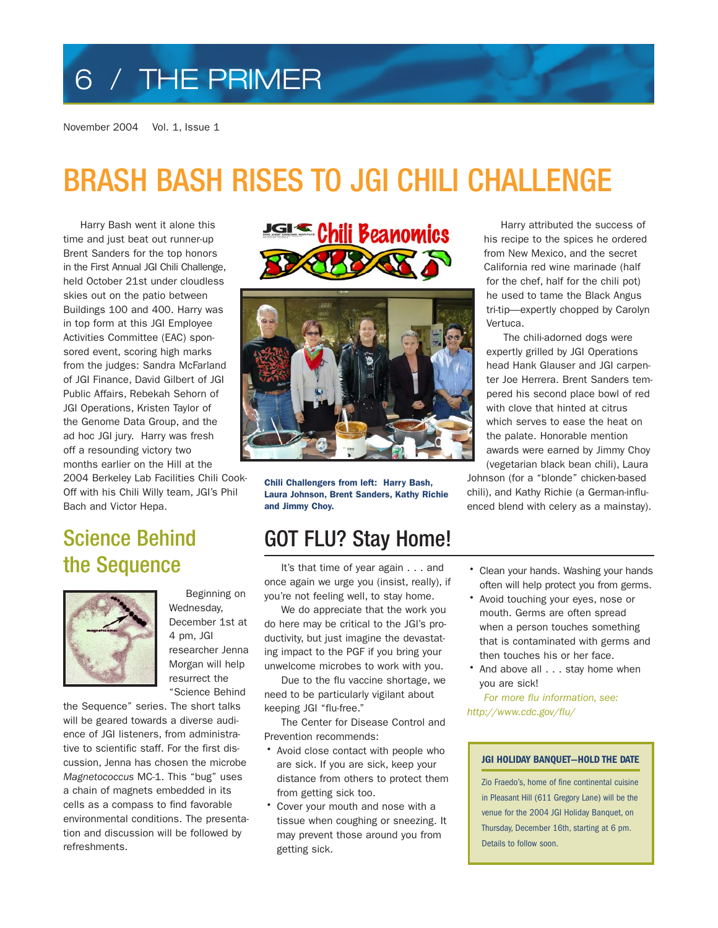# BRASH BASH RISES TO JGI CHILI CHALLENGE

Harry Bash went it alone this time and just beat out runner-up Brent Sanders for the top honors in the First Annual JGI Chili Challenge, held October 21st under cloudless skies out on the patio between Buildings 100 and 400. Harry was in top form at this JGI Employee Activities Committee (EAC) sponsored event, scoring high marks from the judges: Sandra McFarland of JGI Finance, David Gilbert of JGI Public Affairs, Rebekah Sehorn of JGI Operations, Kristen Taylor of the Genome Data Group, and the ad hoc JGI jury. Harry was fresh off a resounding victory two months earlier on the Hill at the 2004 Berkeley Lab Facilities Chili Cook-Off with his Chili Willy team, JGI's Phil Bach and Victor Hepa.

# the Sequence



Beginning on Wednesday, December 1st at 4 pm, JGI researcher Jenna Morgan will help resurrect the "Science Behind

the Sequence" series. The short talks will be geared towards a diverse audience of JGI listeners, from administrative to scientific staff. For the first discussion, Jenna has chosen the microbe *Magnetococcus* MC-1. This "bug" uses a chain of magnets embedded in its cells as a compass to find favorable environmental conditions. The presentation and discussion will be followed by refreshments.





**Chili Challengers from left: Harry Bash, Laura Johnson, Brent Sanders, Kathy Richie and Jimmy Choy.**

### Science Behind **GOT FLU? Stay Home!**

It's that time of year again . . . and once again we urge you (insist, really), if you're not feeling well, to stay home.

We do appreciate that the work you do here may be critical to the JGI's productivity, but just imagine the devastating impact to the PGF if you bring your unwelcome microbes to work with you.

Due to the flu vaccine shortage, we need to be particularly vigilant about keeping JGI "flu-free."

The Center for Disease Control and Prevention recommends:

- Avoid close contact with people who are sick. If you are sick, keep your distance from others to protect them from getting sick too.
- Cover your mouth and nose with a tissue when coughing or sneezing. It may prevent those around you from getting sick.

Harry attributed the success of his recipe to the spices he ordered from New Mexico, and the secret California red wine marinade (half for the chef, half for the chili pot) he used to tame the Black Angus tri-tip—expertly chopped by Carolyn Vertuca.

The chili-adorned dogs were expertly grilled by JGI Operations head Hank Glauser and JGI carpenter Joe Herrera. Brent Sanders tempered his second place bowl of red with clove that hinted at citrus which serves to ease the heat on the palate. Honorable mention awards were earned by Jimmy Choy (vegetarian black bean chili), Laura

Johnson (for a "blonde" chicken-based chili), and Kathy Richie (a German-influenced blend with celery as a mainstay).

- Clean your hands. Washing your hands often will help protect you from germs.
- Avoid touching your eyes, nose or mouth. Germs are often spread when a person touches something that is contaminated with germs and then touches his or her face.
- And above all . . . stay home when you are sick!

*For more flu information, see: http://www.cdc.gov/flu/*

#### **JGI HOLIDAY BANQUET—HOLD THE DATE**

Zio Fraedo's, home of fine continental cuisine in Pleasant Hill (611 Gregory Lane) will be the venue for the 2004 JGI Holiday Banquet, on Thursday, December 16th, starting at 6 pm. Details to follow soon.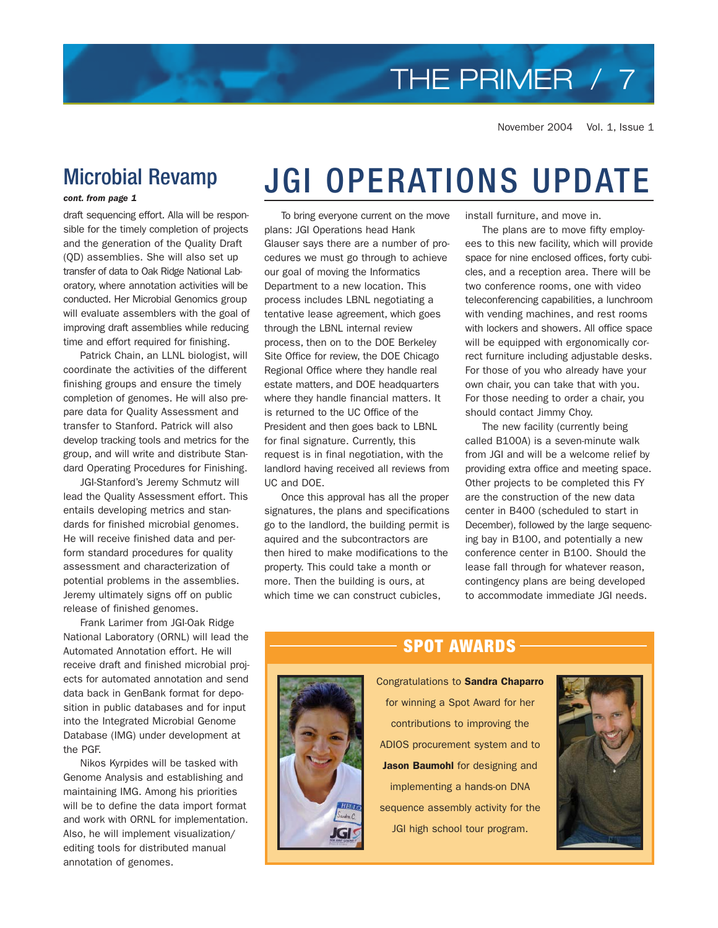THE PRIMER / 7

### Microbial Revamp

#### *cont. from page 1*

draft sequencing effort. Alla will be responsible for the timely completion of projects and the generation of the Quality Draft (QD) assemblies. She will also set up transfer of data to Oak Ridge National Laboratory, where annotation activities will be conducted. Her Microbial Genomics group will evaluate assemblers with the goal of improving draft assemblies while reducing time and effort required for finishing.

Patrick Chain, an LLNL biologist, will coordinate the activities of the different finishing groups and ensure the timely completion of genomes. He will also prepare data for Quality Assessment and transfer to Stanford. Patrick will also develop tracking tools and metrics for the group, and will write and distribute Standard Operating Procedures for Finishing.

JGI-Stanford's Jeremy Schmutz will lead the Quality Assessment effort. This entails developing metrics and standards for finished microbial genomes. He will receive finished data and perform standard procedures for quality assessment and characterization of potential problems in the assemblies. Jeremy ultimately signs off on public release of finished genomes.

Frank Larimer from JGI-Oak Ridge National Laboratory (ORNL) will lead the Automated Annotation effort. He will receive draft and finished microbial projects for automated annotation and send data back in GenBank format for deposition in public databases and for input into the Integrated Microbial Genome Database (IMG) under development at the PGF.

Nikos Kyrpides will be tasked with Genome Analysis and establishing and maintaining IMG. Among his priorities will be to define the data import format and work with ORNL for implementation. Also, he will implement visualization/ editing tools for distributed manual annotation of genomes.

# JGI OPERATIONS UPDATE

To bring everyone current on the move plans: JGI Operations head Hank Glauser says there are a number of procedures we must go through to achieve our goal of moving the Informatics Department to a new location. This process includes LBNL negotiating a tentative lease agreement, which goes through the LBNL internal review process, then on to the DOE Berkeley Site Office for review, the DOE Chicago Regional Office where they handle real estate matters, and DOE headquarters where they handle financial matters. It is returned to the UC Office of the President and then goes back to LBNL for final signature. Currently, this request is in final negotiation, with the landlord having received all reviews from UC and DOE.

Once this approval has all the proper signatures, the plans and specifications go to the landlord, the building permit is aquired and the subcontractors are then hired to make modifications to the property. This could take a month or more. Then the building is ours, at which time we can construct cubicles,

install furniture, and move in.

The plans are to move fifty employees to this new facility, which will provide space for nine enclosed offices, forty cubicles, and a reception area. There will be two conference rooms, one with video teleconferencing capabilities, a lunchroom with vending machines, and rest rooms with lockers and showers. All office space will be equipped with ergonomically correct furniture including adjustable desks. For those of you who already have your own chair, you can take that with you. For those needing to order a chair, you should contact Jimmy Choy.

The new facility (currently being called B100A) is a seven-minute walk from JGI and will be a welcome relief by providing extra office and meeting space. Other projects to be completed this FY are the construction of the new data center in B400 (scheduled to start in December), followed by the large sequencing bay in B100, and potentially a new conference center in B100. Should the lease fall through for whatever reason, contingency plans are being developed to accommodate immediate JGI needs.



#### **SPOT AWARDS**

Congratulations to **Sandra Chaparro** for winning a Spot Award for her contributions to improving the ADIOS procurement system and to **Jason Baumohl** for designing and implementing a hands-on DNA sequence assembly activity for the JGI high school tour program.